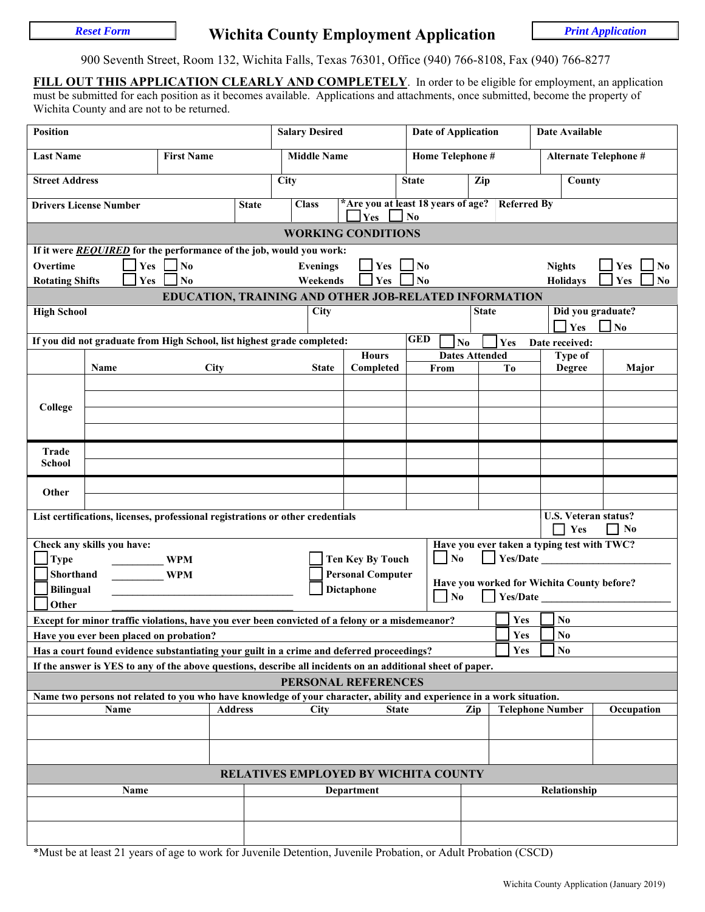# **Reset Form Soluty Employment Application Print Application**

900 Seventh Street, Room 132, Wichita Falls, Texas 76301, Office (940) 766-8108, Fax (940) 766-8277

**FILL OUT THIS APPLICATION CLEARLY AND COMPLETELY**. In order to be eligible for employment, an application must be submitted for each position as it becomes available. Applications and attachments, once submitted, become the property of Wichita County and are not to be returned.

| <b>Position</b>                                                                                                                                 |                                                                                                                |             |                    | <b>Salary Desired</b>                                                                                       |                                                                                 | <b>Date of Application</b>    |                                                       |                       | Date Available                  |                                   |                                        |  |
|-------------------------------------------------------------------------------------------------------------------------------------------------|----------------------------------------------------------------------------------------------------------------|-------------|--------------------|-------------------------------------------------------------------------------------------------------------|---------------------------------------------------------------------------------|-------------------------------|-------------------------------------------------------|-----------------------|---------------------------------|-----------------------------------|----------------------------------------|--|
| <b>First Name</b><br><b>Last Name</b>                                                                                                           |                                                                                                                |             | <b>Middle Name</b> |                                                                                                             | Home Telephone #                                                                |                               |                                                       | Alternate Telephone # |                                 |                                   |                                        |  |
| <b>Street Address</b>                                                                                                                           |                                                                                                                |             | <b>City</b>        | Zip<br><b>State</b>                                                                                         |                                                                                 |                               |                                                       | County                |                                 |                                   |                                        |  |
|                                                                                                                                                 | <b>Drivers License Number</b>                                                                                  |             | <b>State</b>       | <b>Class</b>                                                                                                | *Are you at least 18 years of age? Referred By<br>Yes<br>$\mathbf{N}\mathbf{0}$ |                               |                                                       |                       |                                 |                                   |                                        |  |
| <b>WORKING CONDITIONS</b>                                                                                                                       |                                                                                                                |             |                    |                                                                                                             |                                                                                 |                               |                                                       |                       |                                 |                                   |                                        |  |
| If it were REQUIRED for the performance of the job, would you work:                                                                             |                                                                                                                |             |                    |                                                                                                             |                                                                                 |                               |                                                       |                       |                                 |                                   |                                        |  |
| Overtime                                                                                                                                        | Yes<br>$\log$<br>$\mathbf{Yes}$<br>Yes<br><b>Evenings</b><br>N <sub>0</sub><br><b>Nights</b><br>N <sub>0</sub> |             |                    |                                                                                                             |                                                                                 |                               |                                                       |                       |                                 |                                   |                                        |  |
| $\mathbf{N}\mathbf{0}$<br><b>Yes</b><br>N <sub>o</sub><br>Weekends<br><b>Rotating Shifts</b><br>Yes<br><b>Holidays</b><br>Yes<br>N <sub>0</sub> |                                                                                                                |             |                    |                                                                                                             |                                                                                 |                               |                                                       |                       |                                 |                                   |                                        |  |
|                                                                                                                                                 |                                                                                                                |             |                    | EDUCATION, TRAINING AND OTHER JOB-RELATED INFORMATION                                                       |                                                                                 |                               |                                                       |                       |                                 |                                   |                                        |  |
| <b>High School</b>                                                                                                                              |                                                                                                                |             |                    | City                                                                                                        |                                                                                 |                               | Did you graduate?<br><b>State</b><br>$\Box$ No<br>Yes |                       |                                 |                                   |                                        |  |
|                                                                                                                                                 |                                                                                                                |             |                    | If you did not graduate from High School, list highest grade completed:                                     |                                                                                 | <b>GED</b>                    | $\mathbf{N}\mathbf{o}$                                | Yes                   | Date received:                  |                                   |                                        |  |
|                                                                                                                                                 | Name                                                                                                           | <b>City</b> |                    | <b>State</b>                                                                                                | <b>Hours</b><br>Completed                                                       | <b>Dates Attended</b><br>From |                                                       | Tо                    |                                 | Type of<br><b>Degree</b><br>Major |                                        |  |
|                                                                                                                                                 |                                                                                                                |             |                    |                                                                                                             |                                                                                 |                               |                                                       |                       |                                 |                                   |                                        |  |
|                                                                                                                                                 |                                                                                                                |             |                    |                                                                                                             |                                                                                 |                               |                                                       |                       |                                 |                                   |                                        |  |
| College                                                                                                                                         |                                                                                                                |             |                    |                                                                                                             |                                                                                 |                               |                                                       |                       |                                 |                                   |                                        |  |
|                                                                                                                                                 |                                                                                                                |             |                    |                                                                                                             |                                                                                 |                               |                                                       |                       |                                 |                                   |                                        |  |
| Trade                                                                                                                                           |                                                                                                                |             |                    |                                                                                                             |                                                                                 |                               |                                                       |                       |                                 |                                   |                                        |  |
| School                                                                                                                                          |                                                                                                                |             |                    |                                                                                                             |                                                                                 |                               |                                                       |                       |                                 |                                   |                                        |  |
| Other                                                                                                                                           |                                                                                                                |             |                    |                                                                                                             |                                                                                 |                               |                                                       |                       |                                 |                                   |                                        |  |
|                                                                                                                                                 |                                                                                                                |             |                    |                                                                                                             |                                                                                 |                               |                                                       |                       |                                 |                                   |                                        |  |
|                                                                                                                                                 |                                                                                                                |             |                    | List certifications, licenses, professional registrations or other credentials                              |                                                                                 |                               |                                                       |                       |                                 | Yes                               | U.S. Veteran status?<br>N <sub>0</sub> |  |
|                                                                                                                                                 | Check any skills you have:                                                                                     |             |                    |                                                                                                             |                                                                                 |                               | Have you ever taken a typing test with TWC?           |                       |                                 |                                   |                                        |  |
| <b>Type</b>                                                                                                                                     | <b>WPM</b>                                                                                                     |             |                    |                                                                                                             | <b>Ten Key By Touch</b>                                                         | $\Box$ No                     |                                                       |                       |                                 |                                   |                                        |  |
| Shorthand                                                                                                                                       |                                                                                                                | <b>WPM</b>  |                    |                                                                                                             | <b>Personal Computer</b>                                                        |                               | Have you worked for Wichita County before?            |                       |                                 |                                   |                                        |  |
| Bilingual                                                                                                                                       |                                                                                                                |             |                    |                                                                                                             | <b>Dictaphone</b>                                                               | $\Box$ No                     |                                                       | Yes/Date              |                                 |                                   |                                        |  |
| Other                                                                                                                                           |                                                                                                                |             |                    |                                                                                                             |                                                                                 |                               |                                                       |                       |                                 |                                   |                                        |  |
|                                                                                                                                                 |                                                                                                                |             |                    | Except for minor traffic violations, have you ever been convicted of a felony or a misdemeanor?             |                                                                                 |                               |                                                       | Yes<br>Yes            | N <sub>0</sub>                  |                                   |                                        |  |
|                                                                                                                                                 | Have you ever been placed on probation?                                                                        |             |                    | Has a court found evidence substantiating your guilt in a crime and deferred proceedings?                   |                                                                                 |                               |                                                       | Yes                   | $\mathbf{No}$<br>N <sub>0</sub> |                                   |                                        |  |
|                                                                                                                                                 |                                                                                                                |             |                    | If the answer is YES to any of the above questions, describe all incidents on an additional sheet of paper. |                                                                                 |                               |                                                       |                       |                                 |                                   |                                        |  |
|                                                                                                                                                 |                                                                                                                |             |                    | PERSONAL REFERENCES                                                                                         |                                                                                 |                               |                                                       |                       |                                 |                                   |                                        |  |
| Name two persons not related to you who have knowledge of your character, ability and experience in a work situation.                           |                                                                                                                |             |                    |                                                                                                             |                                                                                 |                               |                                                       |                       |                                 |                                   |                                        |  |
| Name<br><b>Address</b><br><b>City</b><br><b>State</b>                                                                                           |                                                                                                                |             |                    |                                                                                                             | Zip<br><b>Telephone Number</b>                                                  |                               |                                                       | Occupation            |                                 |                                   |                                        |  |
|                                                                                                                                                 |                                                                                                                |             |                    |                                                                                                             |                                                                                 |                               |                                                       |                       |                                 |                                   |                                        |  |
|                                                                                                                                                 |                                                                                                                |             |                    |                                                                                                             |                                                                                 |                               |                                                       |                       |                                 |                                   |                                        |  |
| <b>RELATIVES EMPLOYED BY WICHITA COUNTY</b>                                                                                                     |                                                                                                                |             |                    |                                                                                                             |                                                                                 |                               |                                                       |                       |                                 |                                   |                                        |  |
| Name                                                                                                                                            |                                                                                                                |             |                    | Department                                                                                                  |                                                                                 |                               | Relationship                                          |                       |                                 |                                   |                                        |  |
|                                                                                                                                                 |                                                                                                                |             |                    |                                                                                                             |                                                                                 |                               |                                                       |                       |                                 |                                   |                                        |  |
|                                                                                                                                                 |                                                                                                                |             |                    |                                                                                                             |                                                                                 |                               |                                                       |                       |                                 |                                   |                                        |  |

\*Must be at least 21 years of age to work for Juvenile Detention, Juvenile Probation, or Adult Probation (CSCD)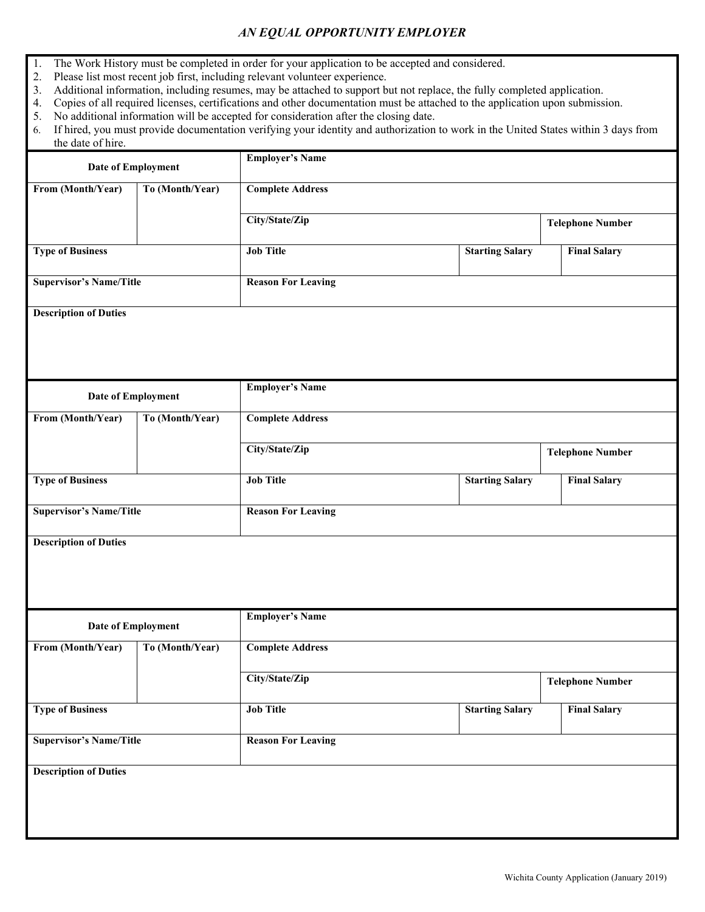## *AN EQUAL OPPORTUNITY EMPLOYER*

- 1. The Work History must be completed in order for your application to be accepted and considered.
- 2. Please list most recent job first, including relevant volunteer experience.
- 3. Additional information, including resumes, may be attached to support but not replace, the fully completed application.<br>4. Copies of all required licenses, certifications and other documentation must be attached to the
- 4. Copies of all required licenses, certifications and other documentation must be attached to the application upon submission.
- 5. No additional information will be accepted for consideration after the closing date.
- 6. If hired, you must provide documentation verifying your identity and authorization to work in the United States within 3 days from the date of hire.

| From (Month/Year)<br>To (Month/Year)<br><b>Complete Address</b><br>City/State/Zip<br><b>Telephone Number</b><br><b>Job Title</b><br><b>Type of Business</b><br><b>Starting Salary</b><br><b>Final Salary</b><br><b>Supervisor's Name/Title</b><br><b>Reason For Leaving</b> |                         |  |  |  |  |  |  |
|-----------------------------------------------------------------------------------------------------------------------------------------------------------------------------------------------------------------------------------------------------------------------------|-------------------------|--|--|--|--|--|--|
|                                                                                                                                                                                                                                                                             |                         |  |  |  |  |  |  |
|                                                                                                                                                                                                                                                                             |                         |  |  |  |  |  |  |
|                                                                                                                                                                                                                                                                             |                         |  |  |  |  |  |  |
|                                                                                                                                                                                                                                                                             |                         |  |  |  |  |  |  |
| <b>Description of Duties</b>                                                                                                                                                                                                                                                |                         |  |  |  |  |  |  |
|                                                                                                                                                                                                                                                                             |                         |  |  |  |  |  |  |
| <b>Employer's Name</b>                                                                                                                                                                                                                                                      |                         |  |  |  |  |  |  |
| Date of Employment                                                                                                                                                                                                                                                          |                         |  |  |  |  |  |  |
| From (Month/Year)<br>To (Month/Year)<br><b>Complete Address</b>                                                                                                                                                                                                             |                         |  |  |  |  |  |  |
| City/State/Zip<br><b>Telephone Number</b>                                                                                                                                                                                                                                   |                         |  |  |  |  |  |  |
| <b>Type of Business</b><br><b>Job Title</b><br><b>Starting Salary</b><br><b>Final Salary</b>                                                                                                                                                                                |                         |  |  |  |  |  |  |
| <b>Supervisor's Name/Title</b><br><b>Reason For Leaving</b>                                                                                                                                                                                                                 |                         |  |  |  |  |  |  |
| <b>Description of Duties</b>                                                                                                                                                                                                                                                |                         |  |  |  |  |  |  |
|                                                                                                                                                                                                                                                                             |                         |  |  |  |  |  |  |
| <b>Employer's Name</b>                                                                                                                                                                                                                                                      |                         |  |  |  |  |  |  |
| Date of Employment                                                                                                                                                                                                                                                          |                         |  |  |  |  |  |  |
| From (Month/Year)<br>To (Month/Year)<br><b>Complete Address</b>                                                                                                                                                                                                             |                         |  |  |  |  |  |  |
| City/State/Zip                                                                                                                                                                                                                                                              | <b>Telephone Number</b> |  |  |  |  |  |  |
| <b>Type of Business</b><br><b>Job Title</b><br><b>Starting Salary</b><br><b>Final Salary</b>                                                                                                                                                                                |                         |  |  |  |  |  |  |
| <b>Supervisor's Name/Title</b><br><b>Reason For Leaving</b>                                                                                                                                                                                                                 |                         |  |  |  |  |  |  |
| <b>Description of Duties</b>                                                                                                                                                                                                                                                |                         |  |  |  |  |  |  |
|                                                                                                                                                                                                                                                                             |                         |  |  |  |  |  |  |
|                                                                                                                                                                                                                                                                             |                         |  |  |  |  |  |  |
|                                                                                                                                                                                                                                                                             |                         |  |  |  |  |  |  |